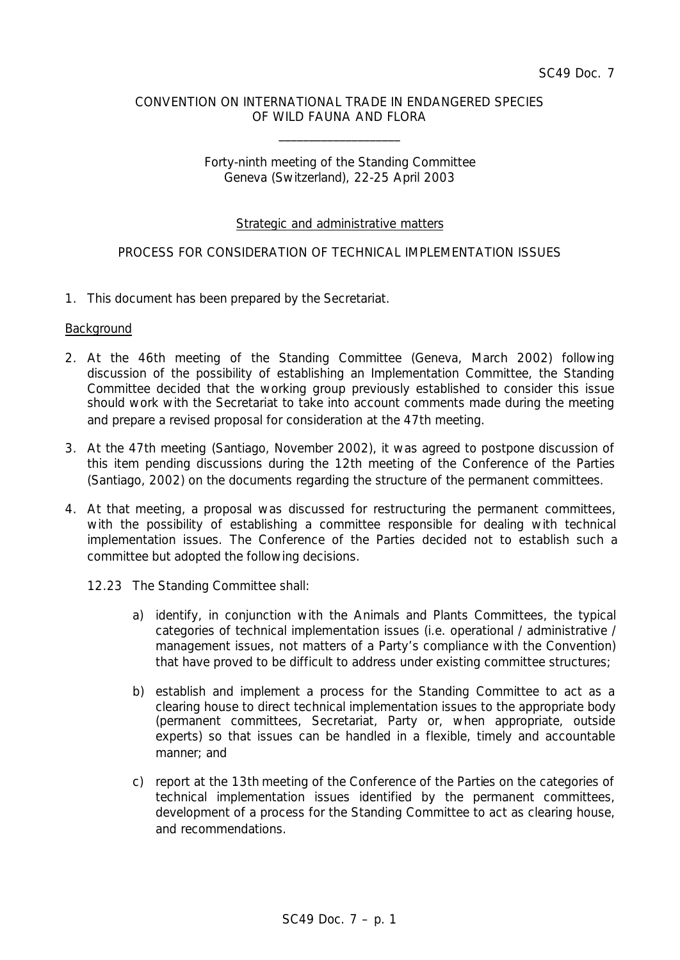### CONVENTION ON INTERNATIONAL TRADE IN ENDANGERED SPECIES OF WILD FAUNA AND FLORA

\_\_\_\_\_\_\_\_\_\_\_\_\_\_\_\_\_\_\_\_

# Forty-ninth meeting of the Standing Committee Geneva (Switzerland), 22-25 April 2003

# Strategic and administrative matters

# PROCESS FOR CONSIDERATION OF TECHNICAL IMPLEMENTATION ISSUES

1. This document has been prepared by the Secretariat.

#### **Background**

- 2. At the 46th meeting of the Standing Committee (Geneva, March 2002) following discussion of the possibility of establishing an Implementation Committee, the Standing Committee decided that the working group previously established to consider this issue should work with the Secretariat to take into account comments made during the meeting and prepare a revised proposal for consideration at the 47th meeting.
- 3. At the 47th meeting (Santiago, November 2002), it was agreed to postpone discussion of this item pending discussions during the 12th meeting of the Conference of the Parties (Santiago, 2002) on the documents regarding the structure of the permanent committees.
- 4. At that meeting, a proposal was discussed for restructuring the permanent committees, with the possibility of establishing a committee responsible for dealing with technical implementation issues. The Conference of the Parties decided not to establish such a committee but adopted the following decisions.
	- *12.23 The Standing Committee shall:*
		- *a) identify, in conjunction with the Animals and Plants Committees, the typical categories of technical implementation issues (i.e. operational / administrative / management issues, not matters of a Party's compliance with the Convention) that have proved to be difficult to address under existing committee structures;*
		- *b) establish and implement a process for the Standing Committee to act as a clearing house to direct technical implementation issues to the appropriate body (permanent committees, Secretariat, Party or, when appropriate, outside experts) so that issues can be handled in a flexible, timely and accountable manner; and*
		- *c) report at the 13th meeting of the Conference of the Parties on the categories of technical implementation issues identified by the permanent committees, development of a process for the Standing Committee to act as clearing house, and recommendations.*